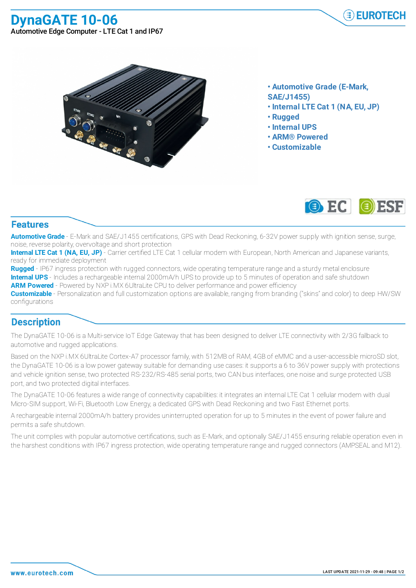## **DynaGATE 10-06** Automotive Edge Computer - LTE Cat 1 and IP67





- **• Automotive Grade (E-Mark,**
- **SAE/J1455)**
- **• Internal LTE Cat 1 (NA, EU, JP)**
- **• Rugged**
- **• Internal UPS**
- **• ARM® Powered**
- **• Customizable**



## **Features**

**Automotive Grade** - E-Mark and SAE/J1455 certifications, GPS with Dead Reckoning, 6-32V power supply with ignition sense, surge, noise, reverse polarity, overvoltage and short protection

**Internal LTE Cat 1 (NA, EU, JP)** - Carrier certified LTE Cat 1 cellular modem with European, North American and Japanese variants, ready for immediate deployment

Rugged - IP67 ingress protection with rugged connectors, wide operating temperature range and a sturdy metal enclosure **Internal UPS** - Includes a rechargeable internal 2000mA/h UPS to provide up to 5 minutes of operation and safe shutdown **ARM Powered** - Powered by NXP i.MX 6UltraLite CPU to deliver performance and power efficiency

**Customizable** - Personalization and full customization options are available, ranging from branding ("skins" and color) to deep HW/SW configurations

## **Description**

The DynaGATE 10-06 is a Multi-service IoT Edge Gateway that has been designed to deliver LTE connectivity with 2/3G fallback to automotive and rugged applications.

Based on the NXP i.MX 6UltraLite Cortex-A7 processor family, with 512MB of RAM, 4GB of eMMC and a user-accessible microSD slot, the DynaGATE 10-06 is a low power gateway suitable for demanding use cases: it supports a 6 to 36V power supply with protections and vehicle ignition sense, two protected RS-232/RS-485 serial ports, two CAN bus interfaces, one noise and surge protected USB port, and two protected digital interfaces.

The DynaGATE 10-06 features a wide range of connectivity capabilities: it integrates an internal LTE Cat 1 cellular modem with dual Micro-SIM support, Wi-Fi, Bluetooth Low Energy, a dedicated GPS with Dead Reckoning and two Fast Ethernet ports.

A rechargeable internal 2000mA/h battery provides uninterrupted operation for up to 5 minutes in the event of power failure and permits a safe shutdown.

The unit complies with popular automotive certifications, such as E-Mark, and optionally SAE/J1455 ensuring reliable operation even in the harshest conditions with IP67 ingress protection, wide operating temperature range and rugged connectors (AMPSEAL and M12).